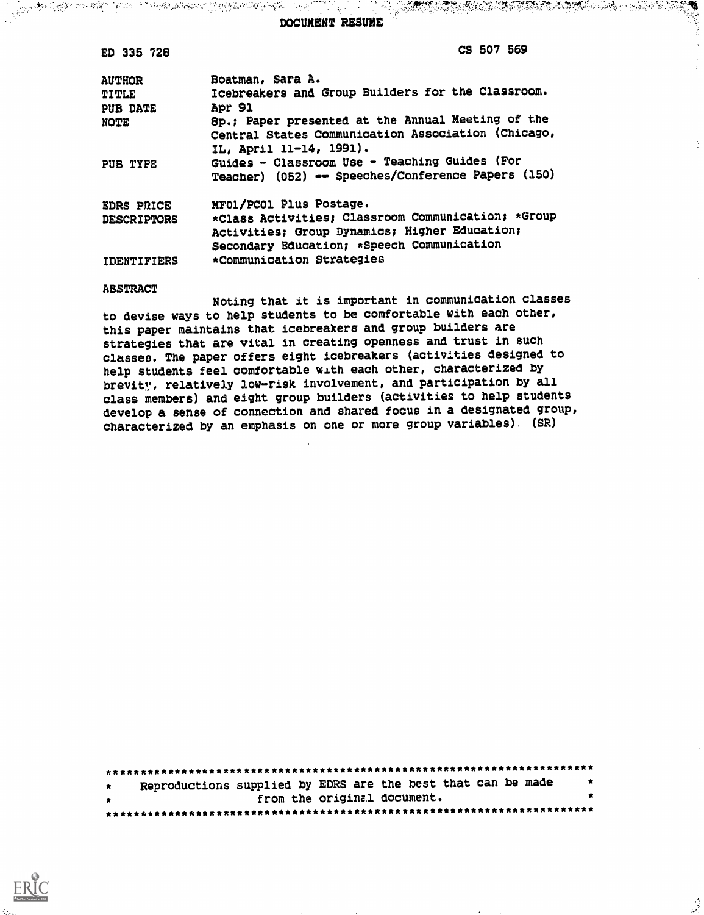STAR AND AN TEACH AND THE COMPANY OF THE CONTRACTORY OF THE COMPANY OF THE COMPANY OF THE COMPANY OF THE COMPANY OF THE RESIDENCE OF THE COMPANY OF THE COMPANY OF THE COMPANY OF THE COMPANY OF THE COMPANY OF THE COMPANY OF DOCUMENT RESUME

CS 507 569

鞴 - 5

÷.

ان<br>تول

| <b>AUTHOR</b><br><b>TITLE</b><br><b>PUB DATE</b><br><b>NOTE</b> | Boatman, Sara A.<br>Icebreakers and Group Builders for the Classroom.<br>Apr 91<br>8p.; Paper presented at the Annual Meeting of the<br>Central States Communication Association (Chicago,<br>IL, April 11-14, 1991). |
|-----------------------------------------------------------------|-----------------------------------------------------------------------------------------------------------------------------------------------------------------------------------------------------------------------|
| PUB TYPE                                                        | Guides - Classroom Use - Teaching Guides (For<br>Teacher) (052) -- Speeches/Conference Papers (150)                                                                                                                   |
| <b>EDRS PRICE</b><br><b>DESCRIPTORS</b>                         | MF01/PC01 Plus Postage.<br>*Class Activities; Classroom Communication; *Group<br>Activities; Group Dynamics; Higher Education;<br>Secondary Education; *Speech Communication                                          |
| IDENTIFIERS                                                     | *Communication Strategies                                                                                                                                                                                             |

#### **ABSTRACT**

ED 335 728

Noting that it is important in communication classes to devise ways to help students to be comfortable with each other, this paper maintains that icebreakers and group builders are strategies that are vital in creating openness and trust in such classes. The paper offers eight icebreakers (activities designed to help students feel comfortable with each other, characterized by brevity, relatively low-risk involvement, and participation by all class members) and eight group builders (activities to help students develop a sense of connection and shared focus in a designated group, characterized by an emphasis on one or more group variables). (SR)

| $\star$      | Reproductions supplied by EDRS are the best that can be made |                             |  | $\star$   |
|--------------|--------------------------------------------------------------|-----------------------------|--|-----------|
| $\mathbf{r}$ |                                                              | from the original document. |  | $\bullet$ |
|              |                                                              |                             |  |           |

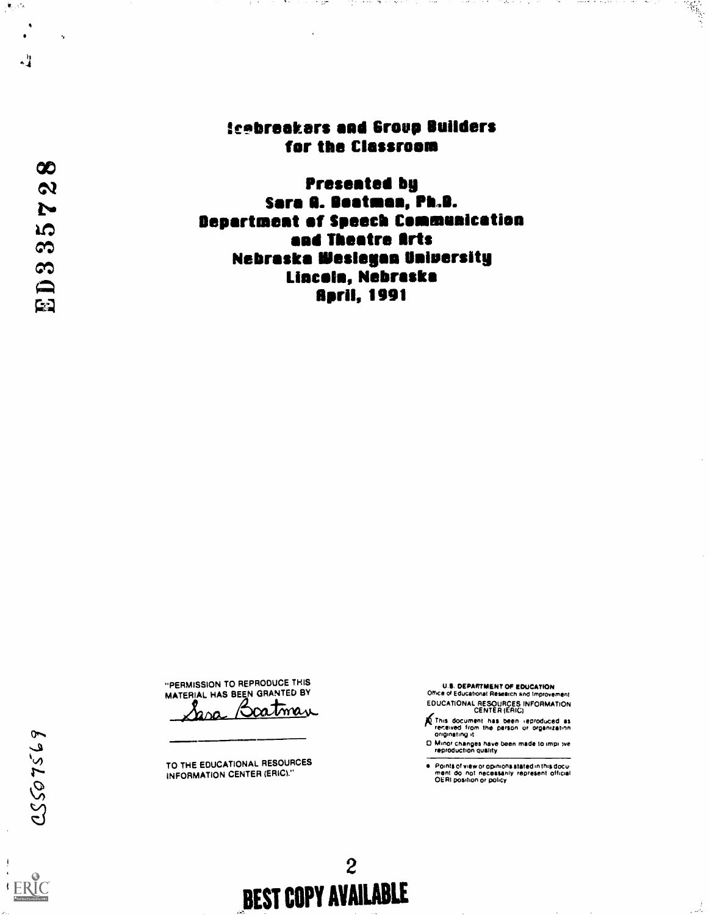# **Scebreakers and Group Builders** for the Classroom

بالمحارب الهداية وبالمراري

**START START** 

ولمرابط الحالجية

n martin

**Presented by** Sara A. Boatman, Ph.B. **Bepartment of Speech Communication** and Theatre Arts **Nebraska Wesleyan University** Lincoln, Nebraska **April, 1991** 

"PERMISSION TO REPRODUCE THIS MATERIAL HAS BEEN GRANTED BY Boatmar <u>rsa</u>

TO THE EDUCATIONAL RESOURCES **INFORMATION CENTER (ERIC)."** 

 $\boldsymbol{2}$ 

**BEST COPY AVAILABLE** 

U.S. DEPARTMENT OF EDUCATION<br>Office of Educational Research and Improvement EDUCATIONAL RESOURCES INFORMATION

- This document has been reproduced as<br>received from the person or organization<br>originating it
- D. Minor changes have been made to impi yve
- e Points of view or opinions stated in this document do inot inecessarily represent official.<br>OERI position or policy

 $\mathcal{R}_{\mathcal{G}}$  , which

 $\mathbf{q}$ 

 $\infty$ 

 $\boldsymbol{\alpha}$ 

N

**LO** 

S

 $\infty$ 

口

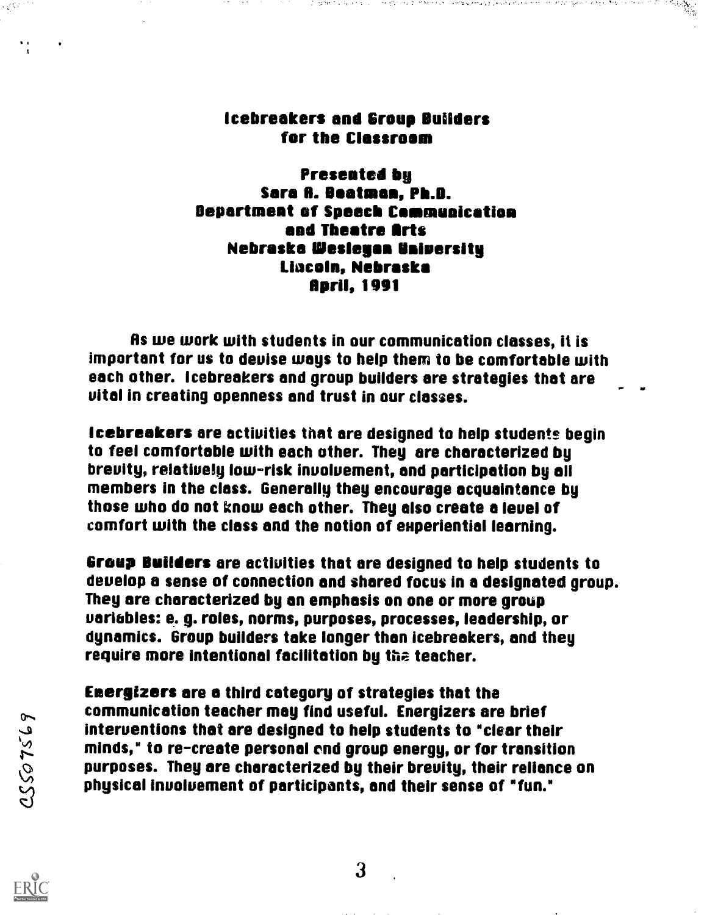# Icebreakers and Group Builders for the Classroom

 $\sim 200$  MeV

that are the first constructions of

Presented by Sara A. Beatman, Ph.D. Department of Speech Communication and Theatre Arts Nebraska Wesleuan Universitu Lincoln, Nebraska April, 1991

As we work with students in our communication classes, it is important for us to deuise ways to help them to be comfortable with each other. Icebreakers and group builders are strategies that are vital in creating openness and trust in our classes.

Icebreakers are activities that are designed to help students begin to feel comfortable with each other. They are characterized by brevity, relatiuely low-risk involvement, and participation by all members in the class. Generally they encourage acquaintance by those who do not know each other. They also create a leuel of comfort with the class and the notion of euperiential learning.

Group Builders are activities that are designed to help students to deuelop a sense of connection and shared focus in a designated group. They are characterized by an emphasis on one or more group uaribbles: e. g. roles, norms, purposes, processes, leadership, or dynamics. Group builders take longer than icebreakers, and they require more intentional facilitation by the teacher.

Energizers are a third category of strategies that the communication teacher may find useful. Energizers are brief interventions that are designed to help students to "clear their minds," to re-create personal end group energy, or for transition purposes. They are characterized by their brevity, their reliance on physical involvement of participants, and their sense of "fun."

ERIC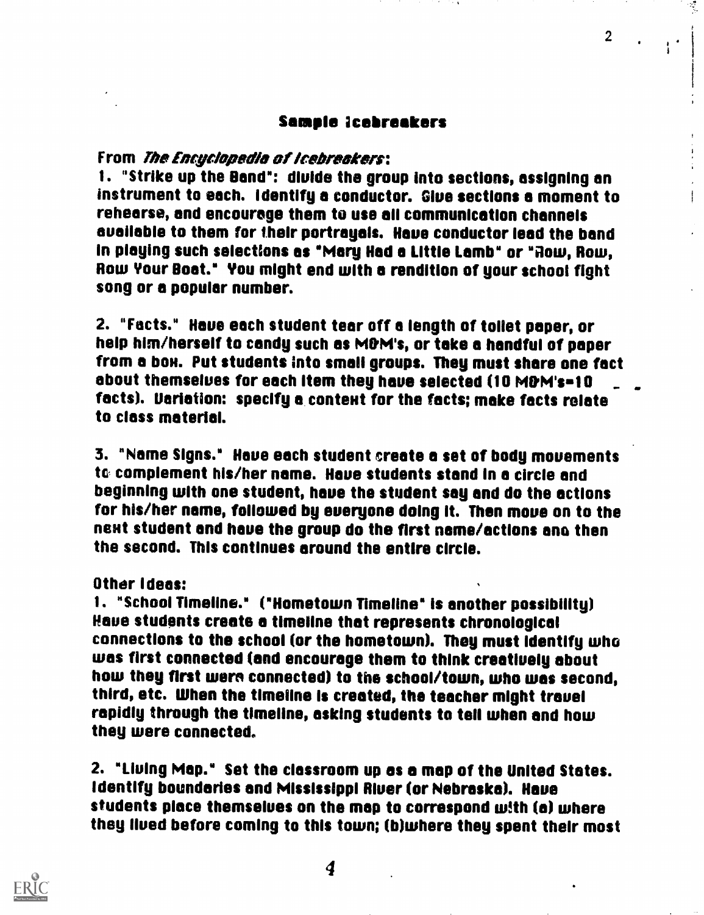## Sample icebreakers

## From *The Encyclopedia of Icebreckers*:

1. "Strike up the Band": divide the group into sections, assigning an instrument to each. Identify a conductor. Glue sections a moment to rehearse, and encourage them to use all communication channels available to them for their portrayals. Have conductor lead the band in playing such selections as "Mary Had a Little Lamb" or "Row, Row, Row Your Boat." You might end with a rendition of your school fight song or a popular number.

2. "Facts." Have each student tear off a length of toilet paper, or help him/herself to candy such as M&M's, or take a handful of paper from a box. Put students into small groups. They must share one fact about themselves for each item they have selected (10 M&M's=10 facts). Uariation: specify a content for the facts; make facts relate to class material.

3. "Name Signs." Have each student create a set of body movements to complement his/her name. Have students stand in a circle and beginning with one student, have the student say and do the actions for his/her name, followed by everyone doing it. Then move on to the next student and have the group do the first name/actions and then the second. This continues around the entire circle.

Other ideas:

1. "School Timeline." ("Hometown Timeline" is another possibility) Haus students create a timeline that represents chronological connections to the school (or the hometown). They must identify who was first connected (and encourage them to think creatively about how they first worn connected) to the school/town, who was second, third, etc. When the timeline is created, the teacher might trauel rapidly through the timeline, asking students to tell when and how they were connected.

2. "Liuing Map." Set the classroom up as a map of the United States. Identify boundaries and Mississippi River (or Nebraska). Have students place themselves on the map to correspond With (a) where they lived before coming to this town; (b)where they spent their most



2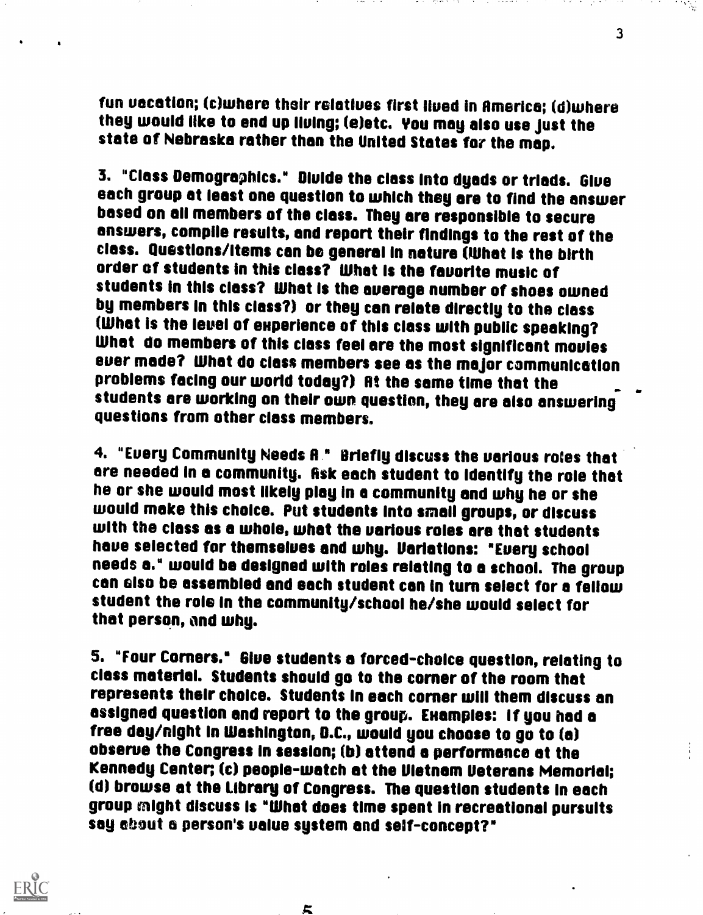fun vacation; (c)where their relatives first lived in America; (d)where they would like to end up living; (e)etc. You may also use just the state of Nebraska rather than the United States for the map.

3. "Class Demographics." Divide the class into dyads or triads. Give each group at least one question to which they are to find the answer based on all members of the class. They are responsible to secure answers, compile results, and report their findings to the rest of the class. Questions/Items can be general in nature (What is the birth order of students in this class? What is the favorite music of students in this class? What Is the average number of shoes owned by members in this class?) or they can relate directly to the class (What is the level of emperience of this class with public speaking? What do members of this class feel are the most significant movies ever made? What do class members see as the major communication<br>problems facing our world today?) At the same time that the students are working on their own question, they are also answering questions from other class members.

4. "Every Community Needs A." Briefly discuss the various roles that are needed in a community. Ask each student to identify the role that<br>he or she would most likely play in a community and why he or she would make this choice. Put students into small groups, or discuss<br>with the class as a whole, what the various roles are that students<br>have selected for themselves and why. Variations: "Every school needs a." would be designed with roles relating to a school. The group can also be assembled and each student can in turn select for a fellow student the role in the community/school he/she would select for that person, and why.

5. "Four Corners.° Glue students a forced-choice question, relating to class material. Students should go to the corner of the room that represents their choice. Students in each corner will them discuss an assigned question and report to the group. Examples: If you had a free day/night in Washington, D.C., would you choose to go to (a) observe the Congress in session; (b) attend a performance at the Kennedy Center; (c) people-watch at the Vietnam Veterans Memorial; (d) browse at the Library of Congress. The question students in each group might discuss is "What does time spent in recreational pursuits say about a person's value system and self-concept?"



片

3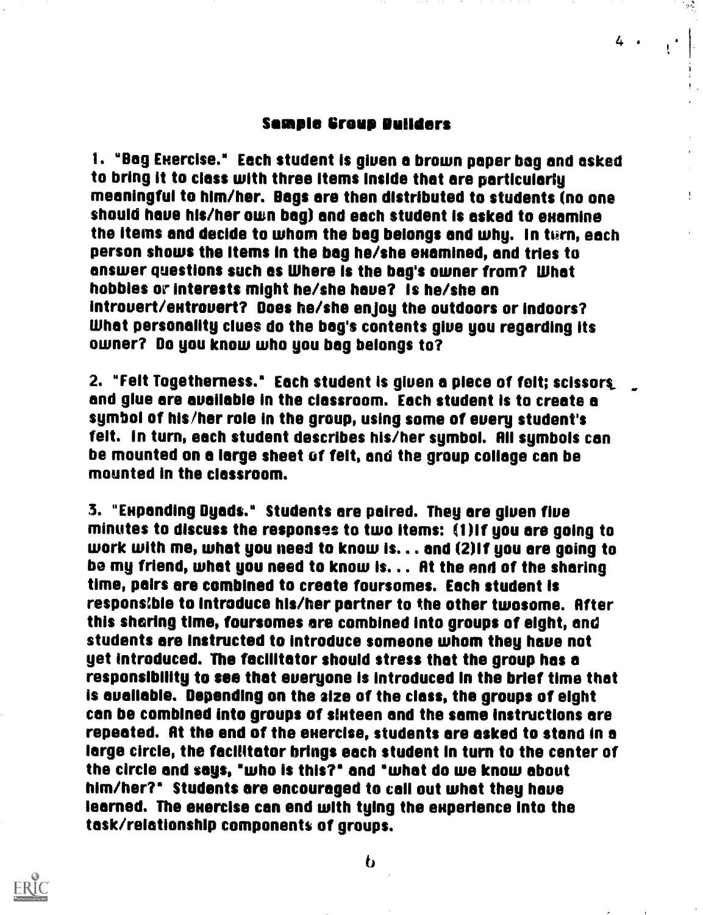### Sample Group Builders

 $4 \cdot \frac{1}{1}$ 

MI

1. "Bag Exercise." Each student is given a brown paper bag and asked to bring it to class with three items inside that are particularly meaningful to him/her. Bags are then distributed to students (no one should have his/her own bag) and each student is asked to examine the items and decide to whom the bag belongs and why. In turn, each person shows the items in the bag he/she emamined, and tries to answer questions such as Where is the bag's owner from? What hobbies or interests might he/she have? is he/she an introuert/eutrouert? Does he/she enjoy the outdoors or indoors? What personality clues do the bag's contents glue you regarding its owner? Do you know who you bag belongs to?

2. "Felt Togetherness." Each student is giuen a piece of felt; scissors\_ and glue are available in the classroom. Each student is to create a symbol of his/her role in the group, using some of every student's felt. In turn, each student describes his/her symbol. All symbols can be mounted on a large sheet of felt, and the group collage can be mounted in the classroom.

3. "Eupanding Dyads." Students are paired. They are giuen five minutes to discuss the responses to two items: (1)if you are going to work with me, what you need to know is... and (2)if you are going to be mg friend, what you need to know is... At the end of the sharing time, pairs are combined to create foursomes. Each student is responsible to introduce his/her partner to the other twosome. After this sharing time, foursomes are combined into groups of eight, and students are instructed to introduce someone whom they haus not yet introduced. The facilitator should stress that the group has a responsibility to see that eueryone is introduced in the brief time that is available. Depending on the size of the class, the groups of eight can be combined into groups of sluteen and the same instructions are repeated. At the end of the exercise, students are asked to stand in a large circle, the facilitator brings each student in turn to the center of the circle and says, "who is this?' and "what do we know about him/her?" Students are encouraged to call out what they have learned. The exercise can end with tying the experience into the task/relationship components of groups.



 $\mathbf{b}$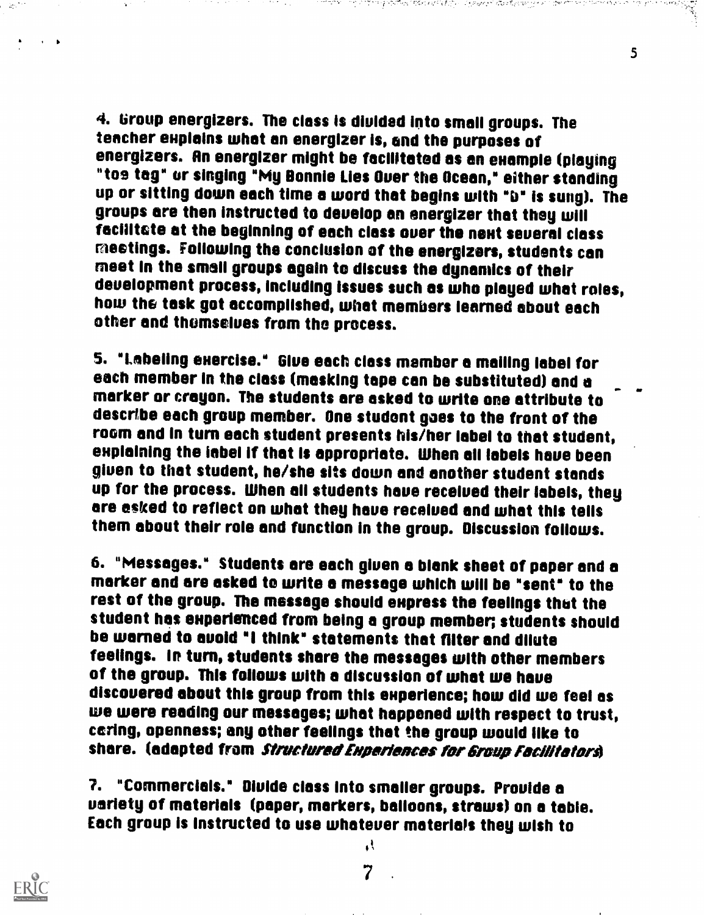4. Group energizers. The class is divided into small groups. The<br>teacher explains what an energizer is, and the purposes of energizers. An energizer might be facilitated as an example (playing "toe tag" or singing "My Bonnie Lies Ouer the Ocean," either standing up or sitting down each time a word that begins with "D" is sung). The groups are then instructed to deuelop an energizer that they will facilitate at the beginning of each class over the next several class<br>meetings. Following the conclusion of the energizers, students can meet in the small groups again to discuss the dynamics of their<br>development process, including issues such as who played what roles, how the task got accomplished, what members learned about each other and thumseives from the process.

and the first

5

5. "Labeling enercise." Glue each class member a mailing label for marker or crayon. The students are asked to write one attribute to describe each group member. One student goes to the front of the explaining the iabel if that is appropriate. When all labels have been giuen to that student, he/she sits down and another student stands up for the process. When all students have received their labels, they are asked to reflect on what they haue received and what this tells them about their role and function in the group. Discussion follows.

6. "Messages." Students are each giuen a blank sheet of paper and a marker and are asked to write a message which will be "sent" to the rest of the group. The message should empress the feelings thut the student has experienced from being a group member; students should<br>be warned to avoid "I think" statements that filter and dilute<br>feelings. In turn, students share the messages with other members of the group. This follows with a discussion of what we have discovered about this group from thls enperience; how did we feel as we were reading our messages; what happened with respect to trust, caring, openness; any other feelings that the group would like to share. (adapted from *Structured Experiences for Group Facilitators*)

7. "Commercials." Diulde class into smaller groups. Provide a variety of materials (paper, markers, balloons, straws) on a table. Each group is instructed to use whatever materials they wish to



7

k